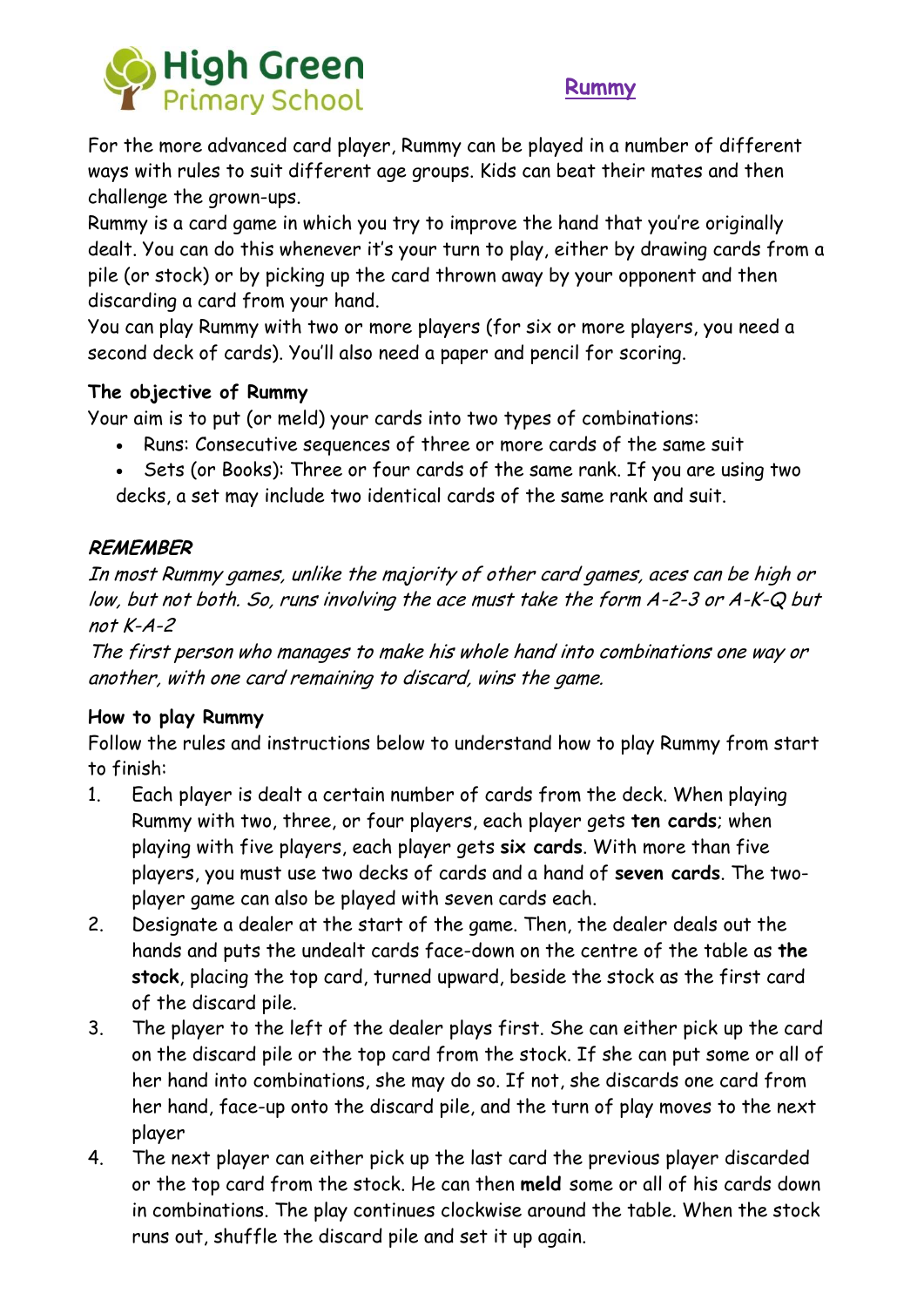



For the more advanced card player, Rummy can be played in a number of different ways with rules to suit different age groups. Kids can beat their mates and then challenge the grown-ups.

Rummy is a card game in which you try to improve the hand that you're originally dealt. You can do this whenever it's your turn to play, either by drawing cards from a pile (or stock) or by picking up the card thrown away by your opponent and then discarding a card from your hand.

You can play Rummy with two or more players (for six or more players, you need a second deck of cards). You'll also need a paper and pencil for scoring.

## **The objective of Rummy**

Your aim is to put (or meld) your cards into two types of combinations:

- Runs: Consecutive sequences of three or more cards of the same suit
- Sets (or Books): Three or four cards of the same rank. If you are using two decks, a set may include two identical cards of the same rank and suit.

# **REMEMBER**

In most Rummy games, unlike the majority of other card games, aces can be high or low, but not both. So, runs involving the ace must take the form A-2-3 or A-K-Q but not K-A-2

The first person who manages to make his whole hand into combinations one way or another, with one card remaining to discard, wins the game.

## **How to play Rummy**

Follow the rules and instructions below to understand how to play Rummy from start to finish:

- 1. Each player is dealt a certain number of cards from the deck. When playing Rummy with two, three, or four players, each player gets **ten cards**; when playing with five players, each player gets **six cards**. With more than five players, you must use two decks of cards and a hand of **seven cards**. The twoplayer game can also be played with seven cards each.
- 2. Designate a dealer at the start of the game. Then, the dealer deals out the hands and puts the undealt cards face-down on the centre of the table as **the stock**, placing the top card, turned upward, beside the stock as the first card of the discard pile.
- 3. The player to the left of the dealer plays first. She can either pick up the card on the discard pile or the top card from the stock. If she can put some or all of her hand into combinations, she may do so. If not, she discards one card from her hand, face-up onto the discard pile, and the turn of play moves to the next player
- 4. The next player can either pick up the last card the previous player discarded or the top card from the stock. He can then **meld** some or all of his cards down in combinations. The play continues clockwise around the table. When the stock runs out, shuffle the discard pile and set it up again.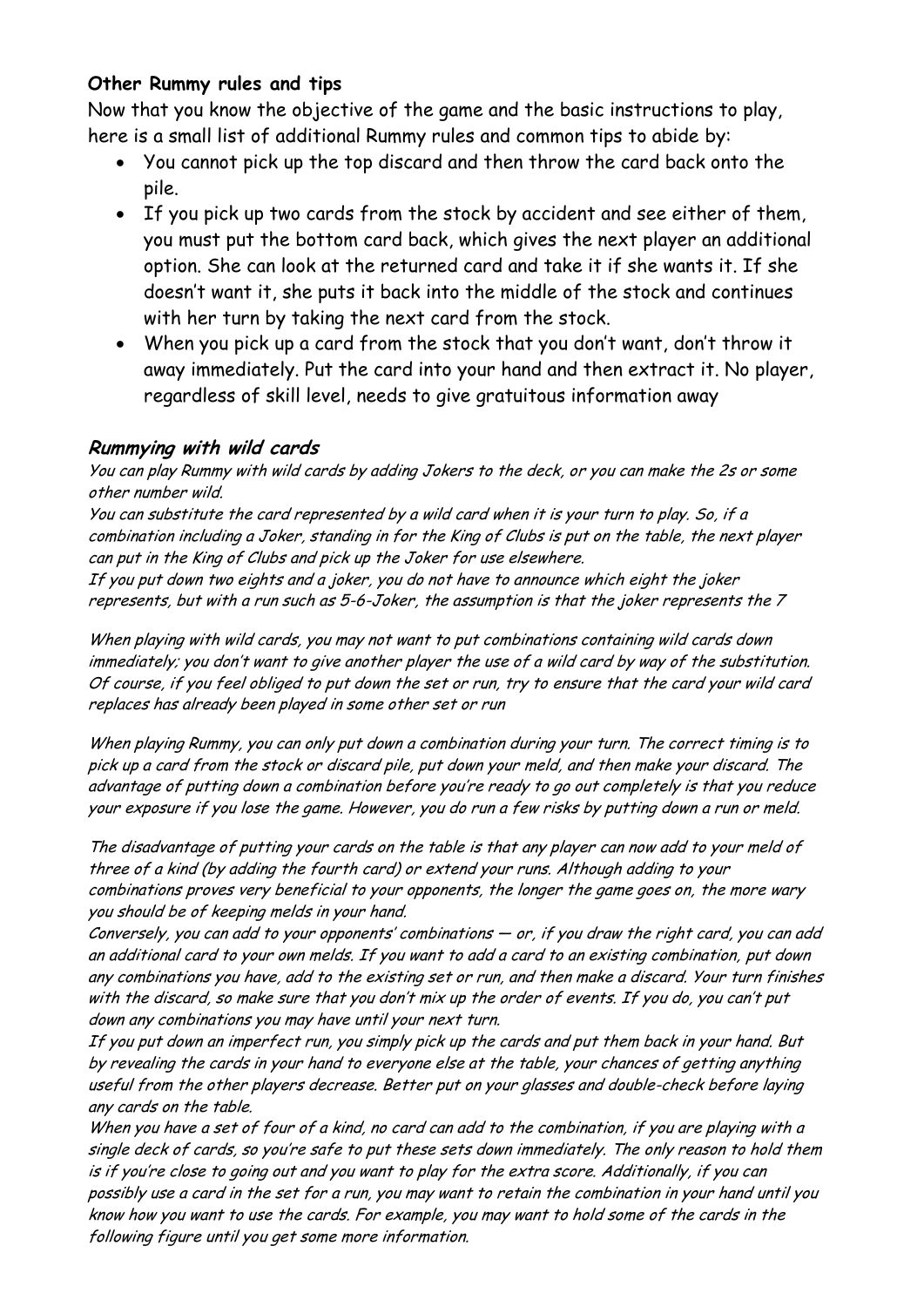#### **Other Rummy rules and tips**

Now that you know the objective of the game and the basic instructions to play, here is a small list of additional Rummy rules and common tips to abide by:

- You cannot pick up the top discard and then throw the card back onto the pile.
- If you pick up two cards from the stock by accident and see either of them, you must put the bottom card back, which gives the next player an additional option. She can look at the returned card and take it if she wants it. If she doesn't want it, she puts it back into the middle of the stock and continues with her turn by taking the next card from the stock.
- When you pick up a card from the stock that you don't want, don't throw it away immediately. Put the card into your hand and then extract it. No player, regardless of skill level, needs to give gratuitous information away

#### **Rummying with wild cards**

You can play Rummy with wild cards by adding Jokers to the deck, or you can make the 2s or some other number wild.

You can substitute the card represented by a wild card when it is your turn to play. So, if a combination including a Joker, standing in for the King of Clubs is put on the table, the next player can put in the King of Clubs and pick up the Joker for use elsewhere.

If you put down two eights and a joker, you do not have to announce which eight the joker represents, but with a run such as 5-6-Joker, the assumption is that the joker represents the 7

When playing with wild cards, you may not want to put combinations containing wild cards down immediately; you don't want to give another player the use of a wild card by way of the substitution. Of course, if you feel obliged to put down the set or run, try to ensure that the card your wild card replaces has already been played in some other set or run

When playing Rummy, you can only put down a combination during your turn. The correct timing is to pick up a card from the stock or discard pile, put down your meld, and then make your discard. The advantage of putting down a combination before you're ready to go out completely is that you reduce your exposure if you lose the game. However, you do run a few risks by putting down a run or meld.

The disadvantage of putting your cards on the table is that any player can now add to your meld of three of a kind (by adding the fourth card) or extend your runs. Although adding to your combinations proves very beneficial to your opponents, the longer the game goes on, the more wary you should be of keeping melds in your hand.

Conversely, you can add to your opponents' combinations — or, if you draw the right card, you can add an additional card to your own melds. If you want to add a card to an existing combination, put down any combinations you have, add to the existing set or run, and then make a discard. Your turn finishes with the discard, so make sure that you don't mix up the order of events. If you do, you can't put down any combinations you may have until your next turn.

If you put down an imperfect run, you simply pick up the cards and put them back in your hand. But by revealing the cards in your hand to everyone else at the table, your chances of getting anything useful from the other players decrease. Better put on your glasses and double-check before laying any cards on the table.

When you have a set of four of a kind, no card can add to the combination, if you are playing with a single deck of cards, so you're safe to put these sets down immediately. The only reason to hold them is if you're close to going out and you want to play for the extra score. Additionally, if you can possibly use a card in the set for a run, you may want to retain the combination in your hand until you know how you want to use the cards. For example, you may want to hold some of the cards in the following figure until you get some more information.